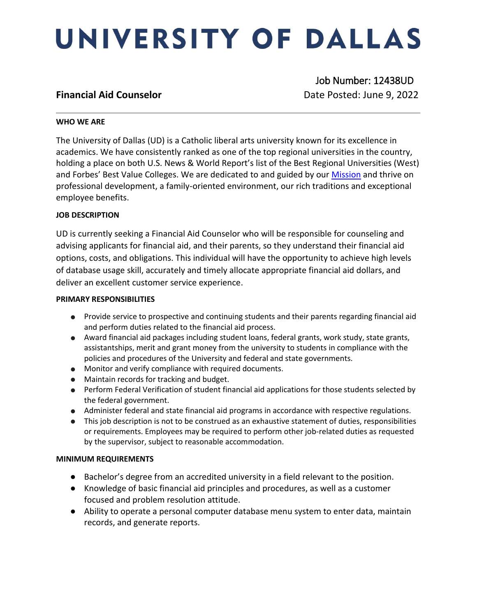# UNIVERSITY OF DALLAS

 Job Number: 12438UD **Financial Aid Counselor Counselor Date Posted: June 9, 2022** 

### **WHO WE ARE**

The University of Dallas (UD) is a Catholic liberal arts university known for its excellence in academics. We have consistently ranked as one of the top regional universities in the country, holding a place on both U.S. News & World Report's list of the Best Regional Universities (West) and Forbes' Best Value Colleges. We are dedicated to and guided by our **Mission** and thrive on professional development, a family-oriented environment, our rich traditions and exceptional employee benefits.

# **JOB DESCRIPTION**

UD is currently seeking a Financial Aid Counselor who will be responsible for counseling and advising applicants for financial aid, and their parents, so they understand their financial aid options, costs, and obligations. This individual will have the opportunity to achieve high levels of database usage skill, accurately and timely allocate appropriate financial aid dollars, and deliver an excellent customer service experience.

#### **PRIMARY RESPONSIBILITIES**

- Provide service to prospective and continuing students and their parents regarding financial aid and perform duties related to the financial aid process.
- Award financial aid packages including student loans, federal grants, work study, state grants, assistantships, merit and grant money from the university to students in compliance with the policies and procedures of the University and federal and state governments.
- Monitor and verify compliance with required documents.
- Maintain records for tracking and budget.
- Perform Federal Verification of student financial aid applications for those students selected by the federal government.
- Administer federal and state financial aid programs in accordance with respective regulations.
- This job description is not to be construed as an exhaustive statement of duties, responsibilities or requirements. Employees may be required to perform other job-related duties as requested by the supervisor, subject to reasonable accommodation.

# **MINIMUM REQUIREMENTS**

- Bachelor's degree from an accredited university in a field relevant to the position.
- Knowledge of basic financial aid principles and procedures, as well as a customer focused and problem resolution attitude.
- Ability to operate a personal computer database menu system to enter data, maintain records, and generate reports.